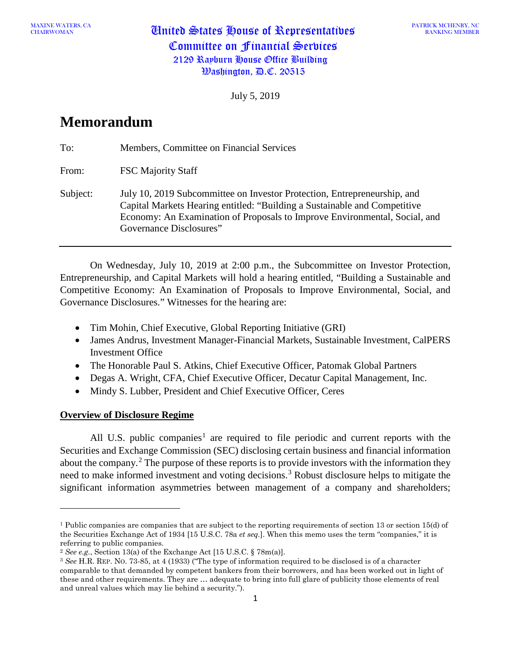CHAIRWOMAN United States House of Representatives Committee on Financial Services 2129 Rayburn House Office Building  $\mathcal{W}$ ashington,  $\mathcal{P}$ .C. 20515

July 5, 2019

## **Memorandum**

| To:      | Members, Committee on Financial Services                                                                                                                                                                                                                       |
|----------|----------------------------------------------------------------------------------------------------------------------------------------------------------------------------------------------------------------------------------------------------------------|
| From:    | <b>FSC Majority Staff</b>                                                                                                                                                                                                                                      |
| Subject: | July 10, 2019 Subcommittee on Investor Protection, Entrepreneurship, and<br>Capital Markets Hearing entitled: "Building a Sustainable and Competitive<br>Economy: An Examination of Proposals to Improve Environmental, Social, and<br>Governance Disclosures" |

On Wednesday, July 10, 2019 at 2:00 p.m., the Subcommittee on Investor Protection, Entrepreneurship, and Capital Markets will hold a hearing entitled, "Building a Sustainable and Competitive Economy: An Examination of Proposals to Improve Environmental, Social, and Governance Disclosures." Witnesses for the hearing are:

- Tim Mohin, Chief Executive, Global Reporting Initiative (GRI)
- James Andrus, Investment Manager-Financial Markets, Sustainable Investment, CalPERS Investment Office
- The Honorable Paul S. Atkins, Chief Executive Officer, Patomak Global Partners
- Degas A. Wright, CFA, Chief Executive Officer, Decatur Capital Management, Inc.
- Mindy S. Lubber, President and Chief Executive Officer, Ceres

## **Overview of Disclosure Regime**

 $\overline{a}$ 

All U.S. public companies<sup>[1](#page-0-0)</sup> are required to file periodic and current reports with the Securities and Exchange Commission (SEC) disclosing certain business and financial information about the company.<sup>[2](#page-0-1)</sup> The purpose of these reports is to provide investors with the information they need to make informed investment and voting decisions.<sup>[3](#page-0-2)</sup> Robust disclosure helps to mitigate the significant information asymmetries between management of a company and shareholders;

<span id="page-0-0"></span><sup>1</sup> Public companies are companies that are subject to the reporting requirements of section 13 or section 15(d) of the Securities Exchange Act of 1934 [15 U.S.C. 78a *et seq.*]. When this memo uses the term "companies," it is referring to public companies.

<span id="page-0-1"></span><sup>2</sup> *See e.g.*, Section 13(a) of the Exchange Act [15 U.S.C. § 78m(a)].

<span id="page-0-2"></span><sup>3</sup> *See* H.R. REP. NO. 73-85, at 4 (1933) ("The type of information required to be disclosed is of a character comparable to that demanded by competent bankers from their borrowers, and has been worked out in light of these and other requirements. They are … adequate to bring into full glare of publicity those elements of real and unreal values which may lie behind a security.").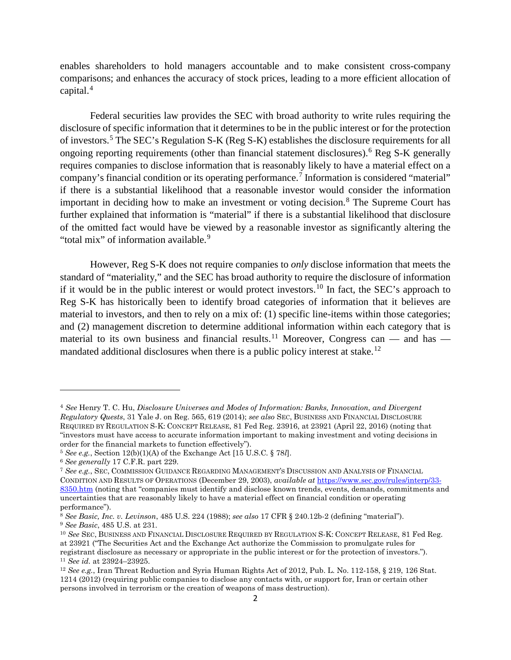enables shareholders to hold managers accountable and to make consistent cross-company comparisons; and enhances the accuracy of stock prices, leading to a more efficient allocation of capital.<sup>[4](#page-1-0)</sup>

Federal securities law provides the SEC with broad authority to write rules requiring the disclosure of specific information that it determines to be in the public interest or for the protection of investors.[5](#page-1-1) The SEC's Regulation S-K (Reg S-K) establishes the disclosure requirements for all ongoing reporting requirements (other than financial statement disclosures).[6](#page-1-2) Reg S-K generally requires companies to disclose information that is reasonably likely to have a material effect on a company's financial condition or its operating performance.[7](#page-1-3) Information is considered "material" if there is a substantial likelihood that a reasonable investor would consider the information important in deciding how to make an investment or voting decision.<sup>[8](#page-1-4)</sup> The Supreme Court has further explained that information is "material" if there is a substantial likelihood that disclosure of the omitted fact would have be viewed by a reasonable investor as significantly altering the "total mix" of information available.<sup>[9](#page-1-5)</sup>

However, Reg S-K does not require companies to *only* disclose information that meets the standard of "materiality," and the SEC has broad authority to require the disclosure of information if it would be in the public interest or would protect investors.<sup>[10](#page-1-6)</sup> In fact, the SEC's approach to Reg S-K has historically been to identify broad categories of information that it believes are material to investors, and then to rely on a mix of: (1) specific line-items within those categories; and (2) management discretion to determine additional information within each category that is material to its own business and financial results.<sup>[11](#page-1-7)</sup> Moreover, Congress can — and has — mandated additional disclosures when there is a public policy interest at stake.<sup>[12](#page-1-8)</sup>

 $\overline{\phantom{a}}$ 

<span id="page-1-0"></span><sup>4</sup> *See* Henry T. C. Hu, *Disclosure Universes and Modes of Information: Banks, Innovation, and Divergent Regulatory Quests*, 31 Yale J. on Reg. 565, 619 (2014); *see also* SEC, BUSINESS AND FINANCIAL DISCLOSURE REQUIRED BY REGULATION S-K: CONCEPT RELEASE, 81 Fed Reg. 23916, at 23921 (April 22, 2016) (noting that "investors must have access to accurate information important to making investment and voting decisions in order for the financial markets to function effectively").

<span id="page-1-1"></span><sup>5</sup> *See e.g.*, Section 12(b)(1)(A) of the Exchange Act [15 U.S.C. § 78*l*].

<span id="page-1-2"></span><sup>6</sup> *See generally* 17 C.F.R. part 229.

<span id="page-1-3"></span><sup>7</sup> *See e.g.*, SEC, COMMISSION GUIDANCE REGARDING MANAGEMENT'S DISCUSSION AND ANALYSIS OF FINANCIAL CONDITION AND RESULTS OF OPERATIONS (December 29, 2003), *available at* [https://www.sec.gov/rules/interp/33-](https://www.sec.gov/rules/interp/33-8350.htm) [8350.htm](https://www.sec.gov/rules/interp/33-8350.htm) (noting that "companies must identify and disclose known trends, events, demands, commitments and uncertainties that are reasonably likely to have a material effect on financial condition or operating performance").

<span id="page-1-5"></span><span id="page-1-4"></span><sup>8</sup> *See Basic, Inc. v. Levinson*, 485 U.S. 224 (1988); *see also* 17 CFR § 240.12b-2 (defining "material"). <sup>9</sup> *See Basic*, 485 U.S. at 231.

<span id="page-1-6"></span><sup>10</sup> *See* SEC, BUSINESS AND FINANCIAL DISCLOSURE REQUIRED BY REGULATION S-K: CONCEPT RELEASE, 81 Fed Reg. at 23921 ("The Securities Act and the Exchange Act authorize the Commission to promulgate rules for registrant disclosure as necessary or appropriate in the public interest or for the protection of investors."). <sup>11</sup> *See id.* at 23924–23925.

<span id="page-1-8"></span><span id="page-1-7"></span><sup>12</sup> *See e.g.*, Iran Threat Reduction and Syria Human Rights Act of 2012, Pub. L. No. 112-158, § 219, 126 Stat. 1214 (2012) (requiring public companies to disclose any contacts with, or support for, Iran or certain other persons involved in terrorism or the creation of weapons of mass destruction).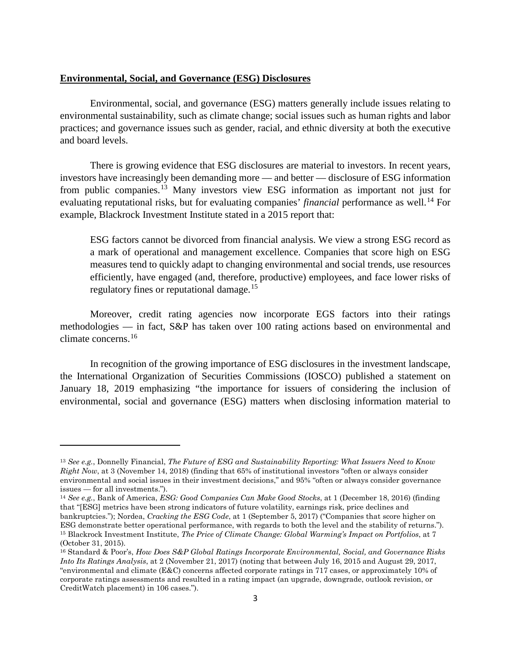## **Environmental, Social, and Governance (ESG) Disclosures**

Environmental, social, and governance (ESG) matters generally include issues relating to environmental sustainability, such as climate change; social issues such as human rights and labor practices; and governance issues such as gender, racial, and ethnic diversity at both the executive and board levels.

There is growing evidence that ESG disclosures are material to investors. In recent years, investors have increasingly been demanding more — and better — disclosure of ESG information from public companies.[13](#page-2-0) Many investors view ESG information as important not just for evaluating reputational risks, but for evaluating companies' *financial* performance as well.<sup>[14](#page-2-1)</sup> For example, Blackrock Investment Institute stated in a 2015 report that:

ESG factors cannot be divorced from financial analysis. We view a strong ESG record as a mark of operational and management excellence. Companies that score high on ESG measures tend to quickly adapt to changing environmental and social trends, use resources efficiently, have engaged (and, therefore, productive) employees, and face lower risks of regulatory fines or reputational damage.[15](#page-2-2)

Moreover, credit rating agencies now incorporate EGS factors into their ratings methodologies — in fact, S&P has taken over 100 rating actions based on environmental and climate concerns.[16](#page-2-3)

In recognition of the growing importance of ESG disclosures in the investment landscape, the International Organization of Securities Commissions (IOSCO) published a statement on January 18, 2019 emphasizing "the importance for issuers of considering the inclusion of environmental, social and governance (ESG) matters when disclosing information material to

 $\overline{a}$ 

<span id="page-2-0"></span><sup>13</sup> *See e.g.*, Donnelly Financial, *The Future of ESG and Sustainability Reporting: What Issuers Need to Know Right Now*, at 3 (November 14, 2018) (finding that 65% of institutional investors "often or always consider environmental and social issues in their investment decisions," and 95% "often or always consider governance issues — for all investments.").

<span id="page-2-1"></span><sup>14</sup> *See e.g.*, Bank of America, *ESG: Good Companies Can Make Good Stocks*, at 1 (December 18, 2016) (finding that "[ESG] metrics have been strong indicators of future volatility, earnings risk, price declines and bankruptcies."); Nordea, *Cracking the ESG Code*, at 1 (September 5, 2017) ("Companies that score higher on ESG demonstrate better operational performance, with regards to both the level and the stability of returns."). <sup>15</sup> Blackrock Investment Institute, *The Price of Climate Change: Global Warming's Impact on Portfolios*, at 7 (October 31, 2015).

<span id="page-2-3"></span><span id="page-2-2"></span><sup>16</sup> Standard & Poor's, *How Does S&P Global Ratings Incorporate Environmental, Social, and Governance Risks Into Its Ratings Analysis*, at 2 (November 21, 2017) (noting that between July 16, 2015 and August 29, 2017, "environmental and climate (E&C) concerns affected corporate ratings in 717 cases, or approximately 10% of corporate ratings assessments and resulted in a rating impact (an upgrade, downgrade, outlook revision, or CreditWatch placement) in 106 cases.").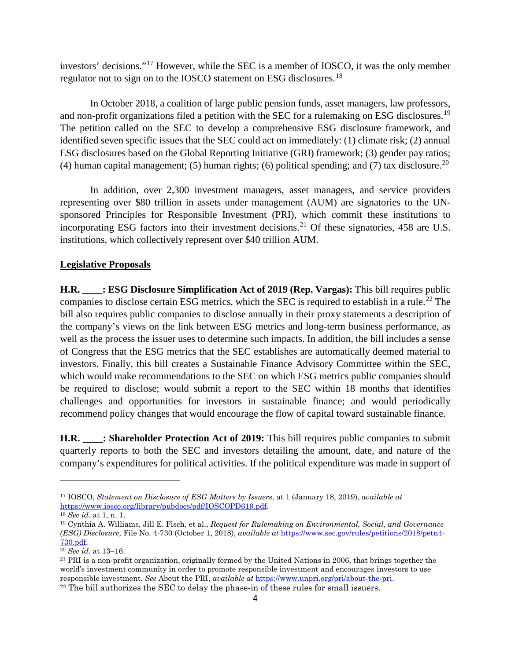investors' decisions."[17](#page-3-0) However, while the SEC is a member of IOSCO, it was the only member regulator not to sign on to the IOSCO statement on ESG disclosures.<sup>[18](#page-3-1)</sup>

In October 2018, a coalition of large public pension funds, asset managers, law professors, and non-profit organizations filed a petition with the SEC for a rulemaking on ESG disclosures.<sup>[19](#page-3-2)</sup> The petition called on the SEC to develop a comprehensive ESG disclosure framework, and identified seven specific issues that the SEC could act on immediately: (1) climate risk; (2) annual ESG disclosures based on the Global Reporting Initiative (GRI) framework; (3) gender pay ratios; (4) human capital management; (5) human rights; (6) political spending; and (7) tax disclosure.<sup>[20](#page-3-3)</sup>

In addition, over 2,300 investment managers, asset managers, and service providers representing over \$80 trillion in assets under management (AUM) are signatories to the UNsponsored Principles for Responsible Investment (PRI), which commit these institutions to incorporating ESG factors into their investment decisions.<sup>[21](#page-3-4)</sup> Of these signatories,  $458$  are U.S. institutions, which collectively represent over \$40 trillion AUM.

## **Legislative Proposals**

**H.R. \_\_\_\_: ESG Disclosure Simplification Act of 2019 (Rep. Vargas):** This bill requires public companies to disclose certain ESG metrics, which the SEC is required to establish in a rule.<sup>[22](#page-3-5)</sup> The bill also requires public companies to disclose annually in their proxy statements a description of the company's views on the link between ESG metrics and long-term business performance, as well as the process the issuer uses to determine such impacts. In addition, the bill includes a sense of Congress that the ESG metrics that the SEC establishes are automatically deemed material to investors. Finally, this bill creates a Sustainable Finance Advisory Committee within the SEC, which would make recommendations to the SEC on which ESG metrics public companies should be required to disclose; would submit a report to the SEC within 18 months that identifies challenges and opportunities for investors in sustainable finance; and would periodically recommend policy changes that would encourage the flow of capital toward sustainable finance.

**H.R. \_\_\_\_: Shareholder Protection Act of 2019:** This bill requires public companies to submit quarterly reports to both the SEC and investors detailing the amount, date, and nature of the company's expenditures for political activities. If the political expenditure was made in support of

l

<span id="page-3-0"></span><sup>17</sup> IOSCO, *Statement on Disclosure of ESG Matters by Issuers*, at 1 (January 18, 2019), *available at* [https://www.iosco.org/library/pubdocs/pdf/IOSCOPD619.pdf.](https://www.iosco.org/library/pubdocs/pdf/IOSCOPD619.pdf)

<span id="page-3-1"></span><sup>18</sup> *See id.* at 1, n. 1.

<span id="page-3-2"></span><sup>19</sup> Cynthia A. Williams, Jill E. Fisch, et al., *Request for Rulemaking on Environmental, Social, and Governance (ESG) Disclosure*, File No. 4-730 (October 1, 2018), *available at* [https://www.sec.gov/rules/petitions/2018/petn4-](https://www.sec.gov/rules/petitions/2018/petn4-730.pdf) [730.pdf.](https://www.sec.gov/rules/petitions/2018/petn4-730.pdf)

<span id="page-3-3"></span><sup>20</sup> *See id.* at 13–16.

<span id="page-3-5"></span><span id="page-3-4"></span><sup>&</sup>lt;sup>21</sup> PRI is a non-profit organization, originally formed by the United Nations in 2006, that brings together the world's investment community in order to promote responsible investment and encourages investors to use responsible investment. *See* About the PRI, *available at* [https://www.unpri.org/pri/about-the-pri.](https://www.unpri.org/pri/about-the-pri) <sup>22</sup> The bill authorizes the SEC to delay the phase-in of these rules for small issuers.